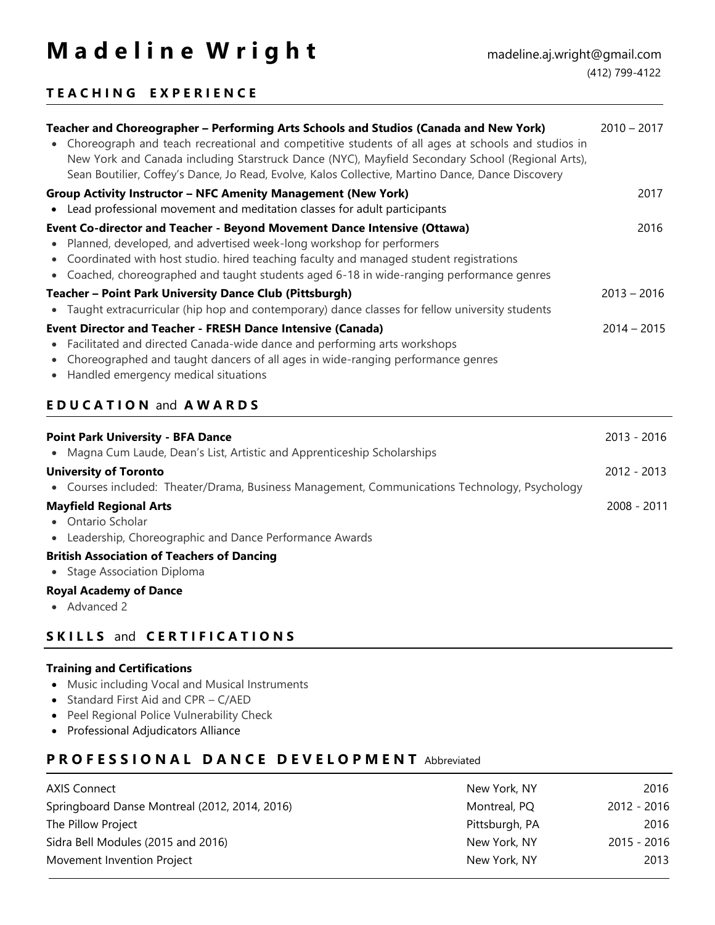# **M a d e l i n e W r i g h t** madeline.aj.wright@gmail.com

### **T E A C H I N G E X P E R I E N C E**

| Teacher and Choreographer - Performing Arts Schools and Studios (Canada and New York)<br>• Choreograph and teach recreational and competitive students of all ages at schools and studios in<br>New York and Canada including Starstruck Dance (NYC), Mayfield Secondary School (Regional Arts),<br>Sean Boutilier, Coffey's Dance, Jo Read, Evolve, Kalos Collective, Martino Dance, Dance Discovery                                                                                   | $2010 - 2017$ |  |  |  |
|-----------------------------------------------------------------------------------------------------------------------------------------------------------------------------------------------------------------------------------------------------------------------------------------------------------------------------------------------------------------------------------------------------------------------------------------------------------------------------------------|---------------|--|--|--|
| <b>Group Activity Instructor - NFC Amenity Management (New York)</b><br>• Lead professional movement and meditation classes for adult participants                                                                                                                                                                                                                                                                                                                                      | 2017          |  |  |  |
| Event Co-director and Teacher - Beyond Movement Dance Intensive (Ottawa)<br>• Planned, developed, and advertised week-long workshop for performers<br>• Coordinated with host studio. hired teaching faculty and managed student registrations<br>• Coached, choreographed and taught students aged 6-18 in wide-ranging performance genres                                                                                                                                             | 2016          |  |  |  |
| <b>Teacher - Point Park University Dance Club (Pittsburgh)</b><br>$2013 - 2016$<br>• Taught extracurricular (hip hop and contemporary) dance classes for fellow university students<br><b>Event Director and Teacher - FRESH Dance Intensive (Canada)</b><br>$2014 - 2015$<br>• Facilitated and directed Canada-wide dance and performing arts workshops<br>• Choreographed and taught dancers of all ages in wide-ranging performance genres<br>• Handled emergency medical situations |               |  |  |  |
|                                                                                                                                                                                                                                                                                                                                                                                                                                                                                         |               |  |  |  |
| <b>EDUCATION and AWARDS</b>                                                                                                                                                                                                                                                                                                                                                                                                                                                             |               |  |  |  |
| <b>Point Park University - BFA Dance</b><br>• Magna Cum Laude, Dean's List, Artistic and Apprenticeship Scholarships                                                                                                                                                                                                                                                                                                                                                                    | 2013 - 2016   |  |  |  |
| <b>University of Toronto</b><br>• Courses included: Theater/Drama, Business Management, Communications Technology, Psychology                                                                                                                                                                                                                                                                                                                                                           | 2012 - 2013   |  |  |  |
| <b>Mayfield Regional Arts</b><br>• Ontario Scholar<br>• Leadership, Choreographic and Dance Performance Awards                                                                                                                                                                                                                                                                                                                                                                          | 2008 - 2011   |  |  |  |
| <b>British Association of Teachers of Dancing</b><br>• Stage Association Diploma                                                                                                                                                                                                                                                                                                                                                                                                        |               |  |  |  |

#### **S K I L L S** and **C E R T I F I C A T I O N S**

#### **Training and Certifications**

- Music including Vocal and Musical Instruments
- Standard First Aid and CPR C/AED
- Peel Regional Police Vulnerability Check
- Professional Adjudicators Alliance

#### **P R O F E S S I O N A L D A N C E D E V E L O P M E N T** Abbreviated

| <b>AXIS Connect</b>                           | New York, NY   | 2016        |
|-----------------------------------------------|----------------|-------------|
| Springboard Danse Montreal (2012, 2014, 2016) | Montreal, PQ   | 2012 - 2016 |
| The Pillow Project                            | Pittsburgh, PA | 2016        |
| Sidra Bell Modules (2015 and 2016)            | New York, NY   | 2015 - 2016 |
| Movement Invention Project                    | New York, NY   | 2013        |